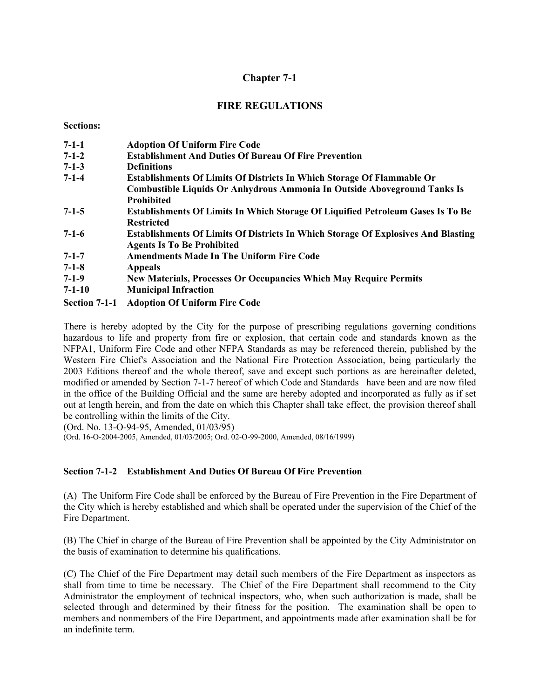# **Chapter 7-1**

## **FIRE REGULATIONS**

**Sections:** 

| $7 - 1 - 1$   | <b>Adoption Of Uniform Fire Code</b>                                                     |
|---------------|------------------------------------------------------------------------------------------|
| $7 - 1 - 2$   | <b>Establishment And Duties Of Bureau Of Fire Prevention</b>                             |
| $7-1-3$       | <b>Definitions</b>                                                                       |
| $7 - 1 - 4$   | <b>Establishments Of Limits Of Districts In Which Storage Of Flammable Or</b>            |
|               | Combustible Liquids Or Anhydrous Ammonia In Outside Aboveground Tanks Is                 |
|               | <b>Prohibited</b>                                                                        |
| $7-1-5$       | <b>Establishments Of Limits In Which Storage Of Liquified Petroleum Gases Is To Be</b>   |
|               | <b>Restricted</b>                                                                        |
| $7-1-6$       | <b>Establishments Of Limits Of Districts In Which Storage Of Explosives And Blasting</b> |
|               | <b>Agents Is To Be Prohibited</b>                                                        |
| $7 - 1 - 7$   | <b>Amendments Made In The Uniform Fire Code</b>                                          |
| $7-1-8$       | <b>Appeals</b>                                                                           |
| $7-1-9$       | New Materials, Processes Or Occupancies Which May Require Permits                        |
| $7 - 1 - 10$  | <b>Municipal Infraction</b>                                                              |
| Section 7-1-1 | <b>Adoption Of Uniform Fire Code</b>                                                     |

There is hereby adopted by the City for the purpose of prescribing regulations governing conditions hazardous to life and property from fire or explosion, that certain code and standards known as the NFPA1, Uniform Fire Code and other NFPA Standards as may be referenced therein, published by the Western Fire Chief's Association and the National Fire Protection Association, being particularly the 2003 Editions thereof and the whole thereof, save and except such portions as are hereinafter deleted, modified or amended by Section 7-1-7 hereof of which Code and Standards have been and are now filed in the office of the Building Official and the same are hereby adopted and incorporated as fully as if set out at length herein, and from the date on which this Chapter shall take effect, the provision thereof shall be controlling within the limits of the City.

(Ord. No. 13-O-94-95, Amended, 01/03/95)

(Ord. 16-O-2004-2005, Amended, 01/03/2005; Ord. 02-O-99-2000, Amended, 08/16/1999)

## **Section 7-1-2 Establishment And Duties Of Bureau Of Fire Prevention**

(A) The Uniform Fire Code shall be enforced by the Bureau of Fire Prevention in the Fire Department of the City which is hereby established and which shall be operated under the supervision of the Chief of the Fire Department.

(B) The Chief in charge of the Bureau of Fire Prevention shall be appointed by the City Administrator on the basis of examination to determine his qualifications.

(C) The Chief of the Fire Department may detail such members of the Fire Department as inspectors as shall from time to time be necessary. The Chief of the Fire Department shall recommend to the City Administrator the employment of technical inspectors, who, when such authorization is made, shall be selected through and determined by their fitness for the position. The examination shall be open to members and nonmembers of the Fire Department, and appointments made after examination shall be for an indefinite term.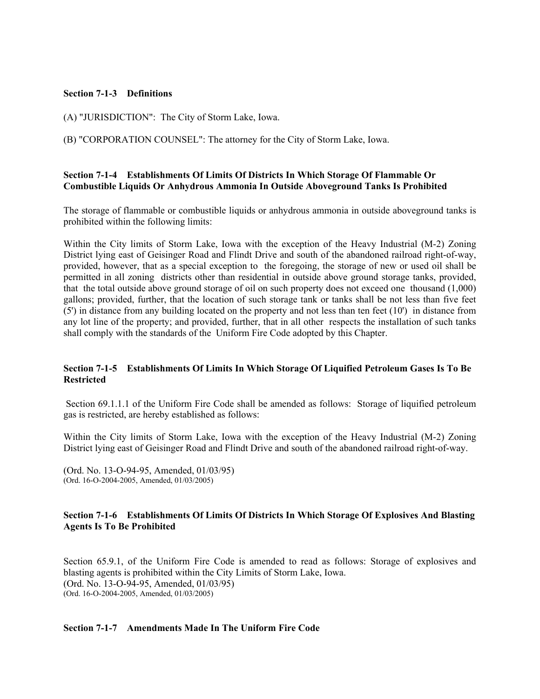#### **Section 7-1-3 Definitions**

(A) "JURISDICTION": The City of Storm Lake, Iowa.

(B) "CORPORATION COUNSEL": The attorney for the City of Storm Lake, Iowa.

#### **Section 7-1-4 Establishments Of Limits Of Districts In Which Storage Of Flammable Or Combustible Liquids Or Anhydrous Ammonia In Outside Aboveground Tanks Is Prohibited**

The storage of flammable or combustible liquids or anhydrous ammonia in outside aboveground tanks is prohibited within the following limits:

Within the City limits of Storm Lake, Iowa with the exception of the Heavy Industrial (M-2) Zoning District lying east of Geisinger Road and Flindt Drive and south of the abandoned railroad right-of-way, provided, however, that as a special exception to the foregoing, the storage of new or used oil shall be permitted in all zoning districts other than residential in outside above ground storage tanks, provided, that the total outside above ground storage of oil on such property does not exceed one thousand (1,000) gallons; provided, further, that the location of such storage tank or tanks shall be not less than five feet (5') in distance from any building located on the property and not less than ten feet (10') in distance from any lot line of the property; and provided, further, that in all other respects the installation of such tanks shall comply with the standards of the Uniform Fire Code adopted by this Chapter.

#### **Section 7-1-5 Establishments Of Limits In Which Storage Of Liquified Petroleum Gases Is To Be Restricted**

 Section 69.1.1.1 of the Uniform Fire Code shall be amended as follows: Storage of liquified petroleum gas is restricted, are hereby established as follows:

Within the City limits of Storm Lake, Iowa with the exception of the Heavy Industrial (M-2) Zoning District lying east of Geisinger Road and Flindt Drive and south of the abandoned railroad right-of-way.

(Ord. No. 13-O-94-95, Amended, 01/03/95) (Ord. 16-O-2004-2005, Amended, 01/03/2005)

#### **Section 7-1-6 Establishments Of Limits Of Districts In Which Storage Of Explosives And Blasting Agents Is To Be Prohibited**

Section 65.9.1, of the Uniform Fire Code is amended to read as follows: Storage of explosives and blasting agents is prohibited within the City Limits of Storm Lake, Iowa. (Ord. No. 13-O-94-95, Amended, 01/03/95) (Ord. 16-O-2004-2005, Amended, 01/03/2005)

#### **Section 7-1-7 Amendments Made In The Uniform Fire Code**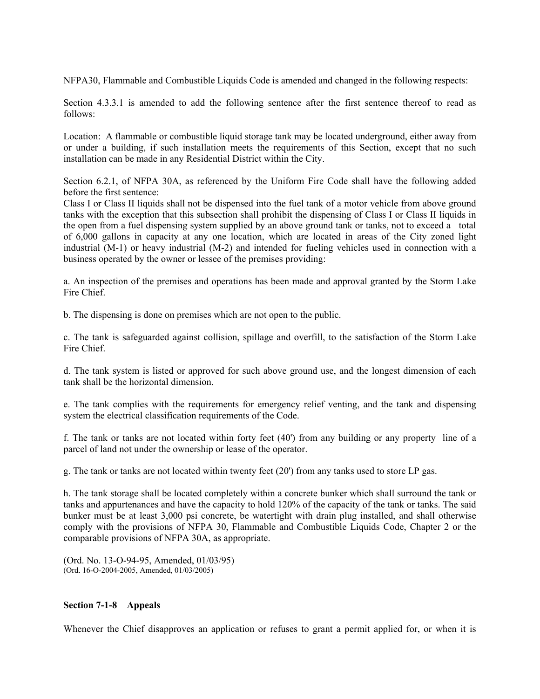NFPA30, Flammable and Combustible Liquids Code is amended and changed in the following respects:

Section 4.3.3.1 is amended to add the following sentence after the first sentence thereof to read as follows:

Location: A flammable or combustible liquid storage tank may be located underground, either away from or under a building, if such installation meets the requirements of this Section, except that no such installation can be made in any Residential District within the City.

Section 6.2.1, of NFPA 30A, as referenced by the Uniform Fire Code shall have the following added before the first sentence:

Class I or Class II liquids shall not be dispensed into the fuel tank of a motor vehicle from above ground tanks with the exception that this subsection shall prohibit the dispensing of Class I or Class II liquids in the open from a fuel dispensing system supplied by an above ground tank or tanks, not to exceed a total of 6,000 gallons in capacity at any one location, which are located in areas of the City zoned light industrial (M-1) or heavy industrial (M-2) and intended for fueling vehicles used in connection with a business operated by the owner or lessee of the premises providing:

a. An inspection of the premises and operations has been made and approval granted by the Storm Lake Fire Chief.

b. The dispensing is done on premises which are not open to the public.

c. The tank is safeguarded against collision, spillage and overfill, to the satisfaction of the Storm Lake Fire Chief.

d. The tank system is listed or approved for such above ground use, and the longest dimension of each tank shall be the horizontal dimension.

e. The tank complies with the requirements for emergency relief venting, and the tank and dispensing system the electrical classification requirements of the Code.

f. The tank or tanks are not located within forty feet (40') from any building or any property line of a parcel of land not under the ownership or lease of the operator.

g. The tank or tanks are not located within twenty feet (20') from any tanks used to store LP gas.

h. The tank storage shall be located completely within a concrete bunker which shall surround the tank or tanks and appurtenances and have the capacity to hold 120% of the capacity of the tank or tanks. The said bunker must be at least 3,000 psi concrete, be watertight with drain plug installed, and shall otherwise comply with the provisions of NFPA 30, Flammable and Combustible Liquids Code, Chapter 2 or the comparable provisions of NFPA 30A, as appropriate.

(Ord. No. 13-O-94-95, Amended, 01/03/95) (Ord. 16-O-2004-2005, Amended, 01/03/2005)

#### **Section 7-1-8 Appeals**

Whenever the Chief disapproves an application or refuses to grant a permit applied for, or when it is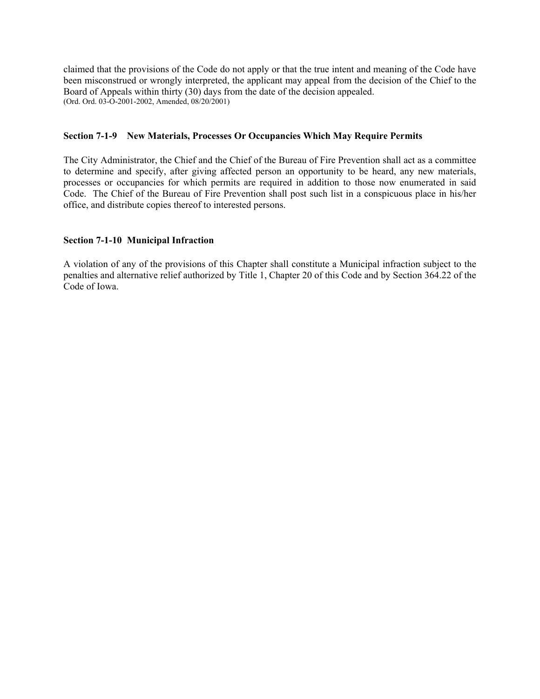claimed that the provisions of the Code do not apply or that the true intent and meaning of the Code have been misconstrued or wrongly interpreted, the applicant may appeal from the decision of the Chief to the Board of Appeals within thirty (30) days from the date of the decision appealed. (Ord. Ord. 03-O-2001-2002, Amended, 08/20/2001)

## **Section 7-1-9 New Materials, Processes Or Occupancies Which May Require Permits**

The City Administrator, the Chief and the Chief of the Bureau of Fire Prevention shall act as a committee to determine and specify, after giving affected person an opportunity to be heard, any new materials, processes or occupancies for which permits are required in addition to those now enumerated in said Code. The Chief of the Bureau of Fire Prevention shall post such list in a conspicuous place in his/her office, and distribute copies thereof to interested persons.

## **Section 7-1-10 Municipal Infraction**

A violation of any of the provisions of this Chapter shall constitute a Municipal infraction subject to the penalties and alternative relief authorized by Title 1, Chapter 20 of this Code and by Section 364.22 of the Code of Iowa.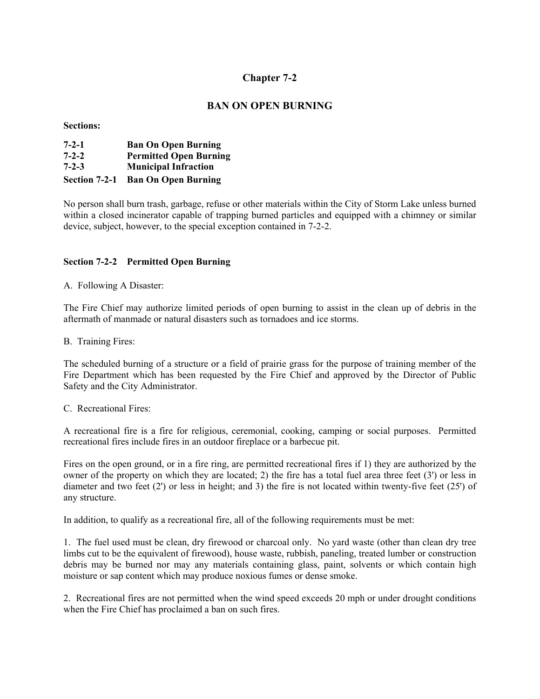# **Chapter 7-2**

# **BAN ON OPEN BURNING**

#### **Sections:**

| $7 - 2 - 1$   | <b>Ban On Open Burning</b>    |
|---------------|-------------------------------|
| $7 - 2 - 2$   | <b>Permitted Open Burning</b> |
| $7 - 2 - 3$   | <b>Municipal Infraction</b>   |
| Section 7-2-1 | <b>Ban On Open Burning</b>    |

No person shall burn trash, garbage, refuse or other materials within the City of Storm Lake unless burned within a closed incinerator capable of trapping burned particles and equipped with a chimney or similar device, subject, however, to the special exception contained in 7-2-2.

## **Section 7-2-2 Permitted Open Burning**

A. Following A Disaster:

The Fire Chief may authorize limited periods of open burning to assist in the clean up of debris in the aftermath of manmade or natural disasters such as tornadoes and ice storms.

B. Training Fires:

The scheduled burning of a structure or a field of prairie grass for the purpose of training member of the Fire Department which has been requested by the Fire Chief and approved by the Director of Public Safety and the City Administrator.

C. Recreational Fires:

A recreational fire is a fire for religious, ceremonial, cooking, camping or social purposes. Permitted recreational fires include fires in an outdoor fireplace or a barbecue pit.

Fires on the open ground, or in a fire ring, are permitted recreational fires if 1) they are authorized by the owner of the property on which they are located; 2) the fire has a total fuel area three feet (3') or less in diameter and two feet (2') or less in height; and 3) the fire is not located within twenty-five feet (25') of any structure.

In addition, to qualify as a recreational fire, all of the following requirements must be met:

1. The fuel used must be clean, dry firewood or charcoal only. No yard waste (other than clean dry tree limbs cut to be the equivalent of firewood), house waste, rubbish, paneling, treated lumber or construction debris may be burned nor may any materials containing glass, paint, solvents or which contain high moisture or sap content which may produce noxious fumes or dense smoke.

2. Recreational fires are not permitted when the wind speed exceeds 20 mph or under drought conditions when the Fire Chief has proclaimed a ban on such fires.